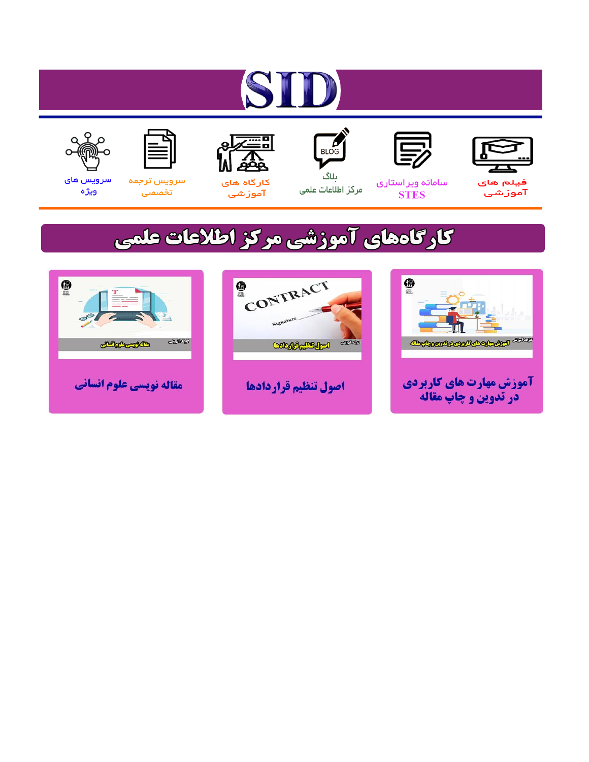# ST









### سامائه ويراستاري **STES**



ىلاگ مرکز اطلاعات علمی



ققق کارگاه های

آموزشي

空



تخصصى

سرویس های ويژه

### كارگاههای آموزشی مركز اطلاعات علمی





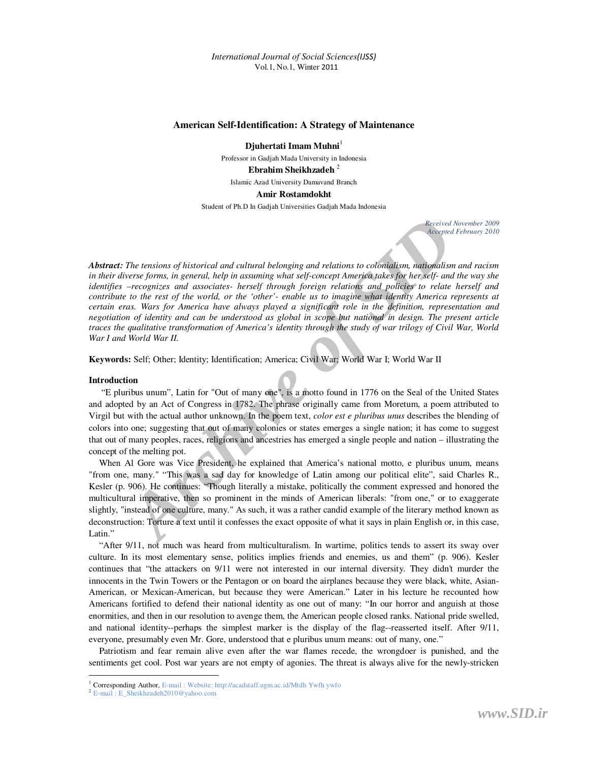#### **American Self-Identification: A Strategy of Maintenance**

**Djuhertati Imam Muhni**<sup>1</sup>

Professor in Gadjah Mada University in Indonesia **Ebrahim Sheikhzadeh** <sup>2</sup> Islamic Azad University Damavand Branch **Amir Rostamdokht**  Student of Ph.D In Gadjah Universities Gadjah Mada Indonesia

> *Received November 2009 Accepted February 2010*

*Acceived*<br> **Archive of the tensions of historical and cultural belonging and relations to colonialism, nationalism<br>** *Accepted***<br>** *Accepted***<br>** *-recognizes and associates herself through joretge in edutions and policing to t Abstract: The tensions of historical and cultural belonging and relations to colonialism, nationalism and racism in their diverse forms, in general, help in assuming what self-concept America takes for her self- and the way she identifies –recognizes and associates- herself through foreign relations and policies to relate herself and contribute to the rest of the world, or the 'other'- enable us to imagine what identity America represents at certain eras. Wars for America have always played a significant role in the definition, representation and negotiation of identity and can be understood as global in scope but national in design. The present article traces the qualitative transformation of America's identity through the study of war trilogy of Civil War, World War I and World War II.* 

**Keywords:** Self; Other; Identity; Identification; America; Civil War; World War I; World War II

#### **Introduction**

 "E pluribus unum", Latin for "Out of many one", is a motto found in 1776 on the Seal of the United States and adopted by an Act of Congress in 1782. The phrase originally came from Moretum, a poem attributed to Virgil but with the actual author unknown. In the poem text, *color est e pluribus unus* describes the blending of colors into one; suggesting that out of many colonies or states emerges a single nation; it has come to suggest that out of many peoples, races, religions and ancestries has emerged a single people and nation – illustrating the concept of the melting pot.

When Al Gore was Vice President, he explained that America's national motto, e pluribus unum, means "from one, many." "This was a sad day for knowledge of Latin among our political elite", said Charles R., Kesler (p. 906). He continues: "Though literally a mistake, politically the comment expressed and honored the multicultural imperative, then so prominent in the minds of American liberals: "from one," or to exaggerate slightly, "instead of one culture, many." As such, it was a rather candid example of the literary method known as deconstruction: Torture a text until it confesses the exact opposite of what it says in plain English or, in this case, Latin."

"After 9/11, not much was heard from multiculturalism. In wartime, politics tends to assert its sway over culture. In its most elementary sense, politics implies friends and enemies, us and them" (p. 906). Kesler continues that "the attackers on 9/11 were not interested in our internal diversity. They didn't murder the innocents in the Twin Towers or the Pentagon or on board the airplanes because they were black, white, Asian-American, or Mexican-American, but because they were American." Later in his lecture he recounted how Americans fortified to defend their national identity as one out of many: "In our horror and anguish at those enormities, and then in our resolution to avenge them, the American people closed ranks. National pride swelled, and national identity--perhaps the simplest marker is the display of the flag--reasserted itself. After 9/11, everyone, presumably even Mr. Gore, understood that e pluribus unum means: out of many, one."

Patriotism and fear remain alive even after the war flames recede, the wrongdoer is punished, and the sentiments get cool. Post war years are not empty of agonies. The threat is always alive for the newly-stricken

 $\overline{a}$ 

<sup>&</sup>lt;sup>1</sup> Corresponding Author, E-mail : Website: http://acadstaff.ugm.ac.id/Mtdh Ywfh ywfo

<sup>2</sup> E-mail : E\_Sheikhzadeh2010@yahoo.com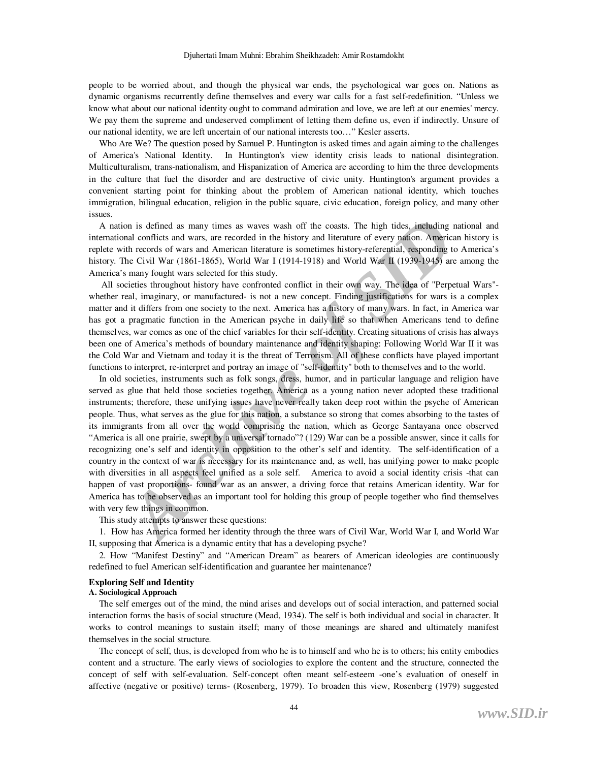people to be worried about, and though the physical war ends, the psychological war goes on. Nations as dynamic organisms recurrently define themselves and every war calls for a fast self-redefinition. "Unless we know what about our national identity ought to command admiration and love, we are left at our enemies' mercy. We pay them the supreme and undeserved compliment of letting them define us, even if indirectly. Unsure of our national identity, we are left uncertain of our national interests too…" Kesler asserts.

Who Are We? The question posed by Samuel P. Huntington is asked times and again aiming to the challenges of America's National Identity. In Huntington's view identity crisis leads to national disintegration. Multiculturalism, trans-nationalism, and Hispanization of America are according to him the three developments in the culture that fuel the disorder and are destructive of civic unity. Huntington's argument provides a convenient starting point for thinking about the problem of American national identity, which touches immigration, bilingual education, religion in the public square, civic education, foreign policy, and many other issues.

A nation is defined as many times as waves wash off the coasts. The high tides, including national and international conflicts and wars, are recorded in the history and literature of every nation. American history is replete with records of wars and American literature is sometimes history-referential, responding to America's history. The Civil War (1861-1865), World War I (1914-1918) and World War II (1939-1945) are among the America's many fought wars selected for this study.

 All societies throughout history have confronted conflict in their own way. The idea of "Perpetual Wars" whether real, imaginary, or manufactured- is not a new concept. Finding justifications for wars is a complex matter and it differs from one society to the next. America has a history of many wars. In fact, in America war has got a pragmatic function in the American psyche in daily life so that when Americans tend to define themselves, war comes as one of the chief variables for their self-identity. Creating situations of crisis has always been one of America's methods of boundary maintenance and identity shaping: Following World War II it was the Cold War and Vietnam and today it is the threat of Terrorism. All of these conflicts have played important functions to interpret, re-interpret and portray an image of "self-identity" both to themselves and to the world.

on is defined as many times as waves wash off the coasts. The high tides, ineluding<br>nal conflicts and wars, are recorded in the history and literature of every pation. America<br>thi records of wars and American literature is In old societies, instruments such as folk songs, dress, humor, and in particular language and religion have served as glue that held those societies together. America as a young nation never adopted these traditional instruments; therefore, these unifying issues have never really taken deep root within the psyche of American people. Thus, what serves as the glue for this nation, a substance so strong that comes absorbing to the tastes of its immigrants from all over the world comprising the nation, which as George Santayana once observed "America is all one prairie, swept by a universal tornado"? (129) War can be a possible answer, since it calls for recognizing one's self and identity in opposition to the other's self and identity. The self-identification of a country in the context of war is necessary for its maintenance and, as well, has unifying power to make people with diversities in all aspects feel unified as a sole self. America to avoid a social identity crisis -that can happen of vast proportions- found war as an answer, a driving force that retains American identity. War for America has to be observed as an important tool for holding this group of people together who find themselves with very few things in common.

This study attempts to answer these questions:

1. How has America formed her identity through the three wars of Civil War, World War I, and World War II, supposing that America is a dynamic entity that has a developing psyche?

2. How "Manifest Destiny" and "American Dream" as bearers of American ideologies are continuously redefined to fuel American self-identification and guarantee her maintenance?

#### **Exploring Self and Identity**

#### **A. Sociological Approach**

The self emerges out of the mind, the mind arises and develops out of social interaction, and patterned social interaction forms the basis of social structure (Mead, 1934). The self is both individual and social in character. It works to control meanings to sustain itself; many of those meanings are shared and ultimately manifest themselves in the social structure.

The concept of self, thus, is developed from who he is to himself and who he is to others; his entity embodies content and a structure. The early views of sociologies to explore the content and the structure, connected the concept of self with self-evaluation. Self-concept often meant self-esteem -one's evaluation of oneself in affective (negative or positive) terms- (Rosenberg, 1979). To broaden this view, Rosenberg (1979) suggested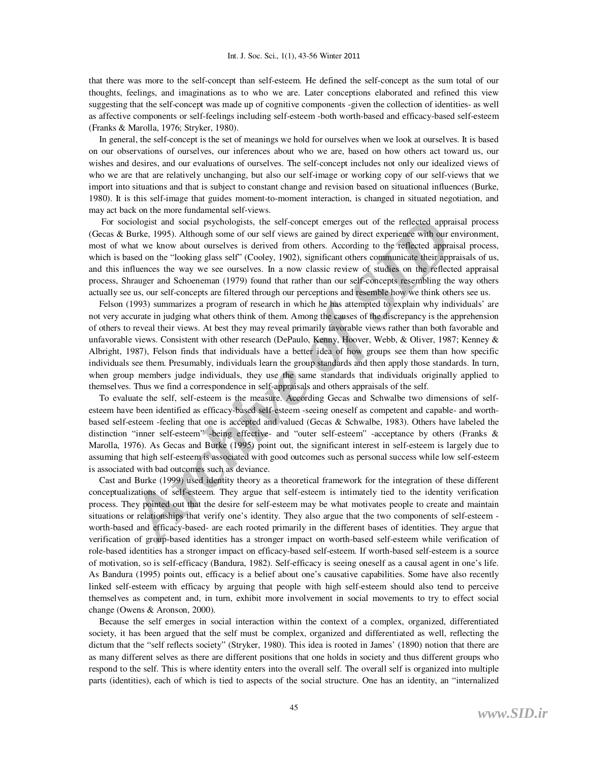that there was more to the self-concept than self-esteem. He defined the self-concept as the sum total of our thoughts, feelings, and imaginations as to who we are. Later conceptions elaborated and refined this view suggesting that the self-concept was made up of cognitive components -given the collection of identities- as well as affective components or self-feelings including self-esteem -both worth-based and efficacy-based self-esteem (Franks & Marolla, 1976; Stryker, 1980).

In general, the self-concept is the set of meanings we hold for ourselves when we look at ourselves. It is based on our observations of ourselves, our inferences about who we are, based on how others act toward us, our wishes and desires, and our evaluations of ourselves. The self-concept includes not only our idealized views of who we are that are relatively unchanging, but also our self-image or working copy of our self-views that we import into situations and that is subject to constant change and revision based on situational influences (Burke, 1980). It is this self-image that guides moment-to-moment interaction, is changed in situated negotiation, and may act back on the more fundamental self-views.

 For sociologist and social psychologists, the self-concept emerges out of the reflected appraisal process (Gecas & Burke, 1995). Although some of our self views are gained by direct experience with our environment, most of what we know about ourselves is derived from others. According to the reflected appraisal process, which is based on the "looking glass self" (Cooley, 1902), significant others communicate their appraisals of us, and this influences the way we see ourselves. In a now classic review of studies on the reflected appraisal process, Shrauger and Schoeneman (1979) found that rather than our self-concepts resembling the way others actually see us, our self-concepts are filtered through our perceptions and resemble how we think others see us.

ociologist and social psychologists, the self-concept emerges out of the reflected appramente, 1995). Although some of our self views are gained by direct experience with our share, the particular what we know about oursel Felson (1993) summarizes a program of research in which he has attempted to explain why individuals' are not very accurate in judging what others think of them. Among the causes of the discrepancy is the apprehension of others to reveal their views. At best they may reveal primarily favorable views rather than both favorable and unfavorable views. Consistent with other research (DePaulo, Kenny, Hoover, Webb, & Oliver, 1987; Kenney & Albright, 1987), Felson finds that individuals have a better idea of how groups see them than how specific individuals see them. Presumably, individuals learn the group standards and then apply those standards. In turn, when group members judge individuals, they use the same standards that individuals originally applied to themselves. Thus we find a correspondence in self-appraisals and others appraisals of the self.

To evaluate the self, self-esteem is the measure. According Gecas and Schwalbe two dimensions of selfesteem have been identified as efficacy-based self-esteem -seeing oneself as competent and capable- and worthbased self-esteem -feeling that one is accepted and valued (Gecas & Schwalbe, 1983). Others have labeled the distinction "inner self-esteem" -being effective- and "outer self-esteem" -acceptance by others (Franks & Marolla, 1976). As Gecas and Burke (1995) point out, the significant interest in self-esteem is largely due to assuming that high self-esteem is associated with good outcomes such as personal success while low self-esteem is associated with bad outcomes such as deviance.

Cast and Burke (1999) used identity theory as a theoretical framework for the integration of these different conceptualizations of self-esteem. They argue that self-esteem is intimately tied to the identity verification process. They pointed out that the desire for self-esteem may be what motivates people to create and maintain situations or relationships that verify one's identity. They also argue that the two components of self-esteem worth-based and efficacy-based- are each rooted primarily in the different bases of identities. They argue that verification of group-based identities has a stronger impact on worth-based self-esteem while verification of role-based identities has a stronger impact on efficacy-based self-esteem. If worth-based self-esteem is a source of motivation, so is self-efficacy (Bandura, 1982). Self-efficacy is seeing oneself as a causal agent in one's life. As Bandura (1995) points out, efficacy is a belief about one's causative capabilities. Some have also recently linked self-esteem with efficacy by arguing that people with high self-esteem should also tend to perceive themselves as competent and, in turn, exhibit more involvement in social movements to try to effect social change (Owens & Aronson, 2000).

Because the self emerges in social interaction within the context of a complex, organized, differentiated society, it has been argued that the self must be complex, organized and differentiated as well, reflecting the dictum that the "self reflects society" (Stryker, 1980). This idea is rooted in James' (1890) notion that there are as many different selves as there are different positions that one holds in society and thus different groups who respond to the self. This is where identity enters into the overall self. The overall self is organized into multiple parts (identities), each of which is tied to aspects of the social structure. One has an identity, an "internalized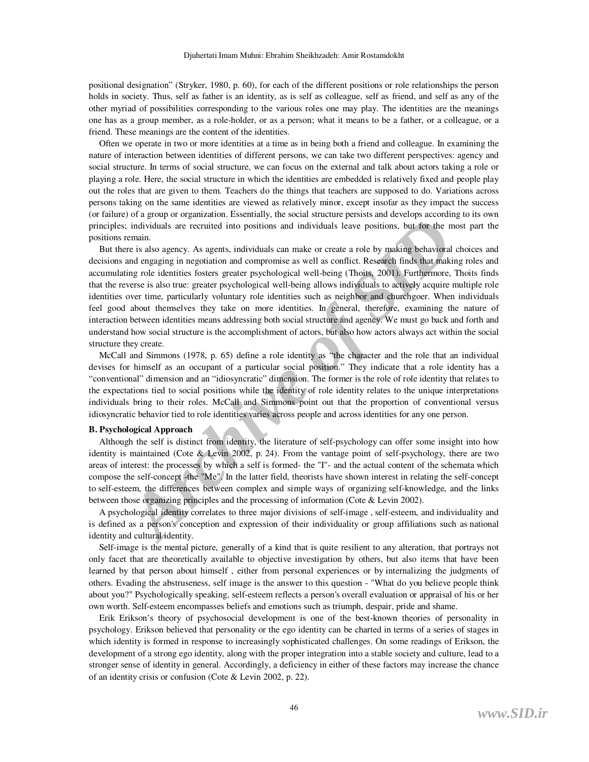positional designation" (Stryker, 1980, p. 60), for each of the different positions or role relationships the person holds in society. Thus, self as father is an identity, as is self as colleague, self as friend, and self as any of the other myriad of possibilities corresponding to the various roles one may play. The identities are the meanings one has as a group member, as a role-holder, or as a person; what it means to be a father, or a colleague, or a friend. These meanings are the content of the identities.

Often we operate in two or more identities at a time as in being both a friend and colleague. In examining the nature of interaction between identities of different persons, we can take two different perspectives: agency and social structure. In terms of social structure, we can focus on the external and talk about actors taking a role or playing a role. Here, the social structure in which the identities are embedded is relatively fixed and people play out the roles that are given to them. Teachers do the things that teachers are supposed to do. Variations across persons taking on the same identities are viewed as relatively minor, except insofar as they impact the success (or failure) of a group or organization. Essentially, the social structure persists and develops according to its own principles; individuals are recruited into positions and individuals leave positions, but for the most part the positions remain.

*y* or grown or granted into positions and individuals between the the relation and individuals are recruited into positions and individuals cave positions, but for the memain.<br>
Archived and engaging in negotiation and com But there is also agency. As agents, individuals can make or create a role by making behavioral choices and decisions and engaging in negotiation and compromise as well as conflict. Research finds that making roles and accumulating role identities fosters greater psychological well-being (Thoits, 2001). Furthermore, Thoits finds that the reverse is also true: greater psychological well-being allows individuals to actively acquire multiple role identities over time, particularly voluntary role identities such as neighbor and churchgoer. When individuals feel good about themselves they take on more identities. In general, therefore, examining the nature of interaction between identities means addressing both social structure and agency. We must go back and forth and understand how social structure is the accomplishment of actors, but also how actors always act within the social structure they create.

McCall and Simmons (1978, p. 65) define a role identity as "the character and the role that an individual devises for himself as an occupant of a particular social position." They indicate that a role identity has a "conventional" dimension and an "idiosyncratic" dimension. The former is the role of role identity that relates to the expectations tied to social positions while the identity of role identity relates to the unique interpretations individuals bring to their roles. McCall and Simmons point out that the proportion of conventional versus idiosyncratic behavior tied to role identities varies across people and across identities for any one person.

#### **B. Psychological Approach**

Although the self is distinct from identity, the literature of self-psychology can offer some insight into how identity is maintained (Cote & Levin 2002, p. 24). From the vantage point of self-psychology, there are two areas of interest: the processes by which a self is formed- the "I"- and the actual content of the schemata which compose the self-concept -the "Me". In the latter field, theorists have shown interest in relating the self-concept to self-esteem, the differences between complex and simple ways of organizing self-knowledge, and the links between those organizing principles and the processing of information (Cote & Levin 2002).

A psychological identity correlates to three major divisions of self-image , self-esteem, and individuality and is defined as a person's conception and expression of their individuality or group affiliations such as national identity and cultural identity.

Self-image is the mental picture, generally of a kind that is quite resilient to any alteration, that portrays not only facet that are theoretically available to objective investigation by others, but also items that have been learned by that person about himself , either from personal experiences or by internalizing the judgments of others. Evading the abstruseness, self image is the answer to this question - "What do you believe people think about you?" Psychologically speaking, self-esteem reflects a person's overall evaluation or appraisal of his or her own worth. Self-esteem encompasses beliefs and emotions such as triumph, despair, pride and shame.

Erik Erikson's theory of psychosocial development is one of the best-known theories of personality in psychology. Erikson believed that personality or the ego identity can be charted in terms of a series of stages in which identity is formed in response to increasingly sophisticated challenges. On some readings of Erikson, the development of a strong ego identity, along with the proper integration into a stable society and culture, lead to a stronger sense of identity in general. Accordingly, a deficiency in either of these factors may increase the chance of an identity crisis or confusion (Cote & Levin 2002, p. 22).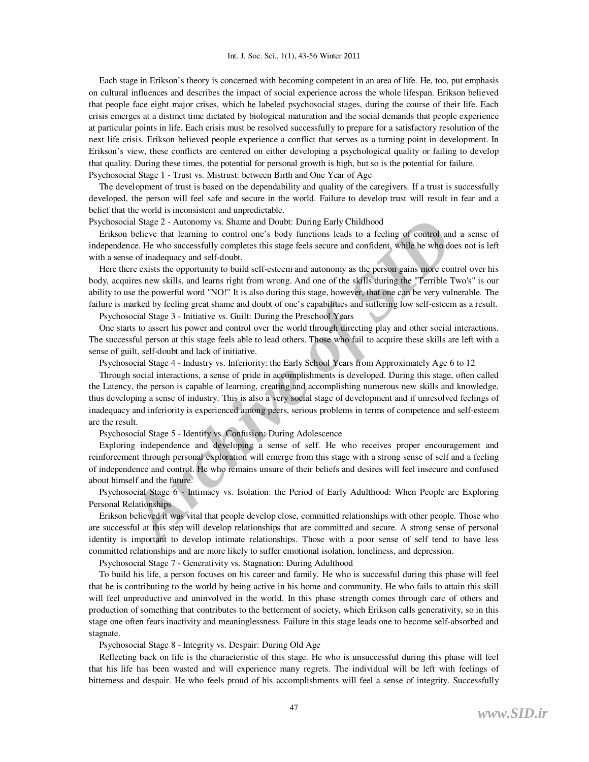#### Int. J. Soc. Sci., 1(1), 43-56 Winter 2011

Each stage in Erikson's theory is concerned with becoming competent in an area of life. He, too, put emphasis on cultural influences and describes the impact of social experience across the whole lifespan. Erikson believed that people face eight major crises, which he labeled psychosocial stages, during the course of their life. Each crisis emerges at a distinct time dictated by biological maturation and the social demands that people experience at particular points in life. Each crisis must be resolved successfully to prepare for a satisfactory resolution of the next life crisis. Erikson believed people experience a conflict that serves as a turning point in development. In Erikson's view, these conflicts are centered on either developing a psychological quality or failing to develop that quality. During these times, the potential for personal growth is high, but so is the potential for failure. Psychosocial Stage 1 - Trust vs. Mistrust: between Birth and One Year of Age

The development of trust is based on the dependability and quality of the caregivers. If a trust is successfully developed, the person will feel safe and secure in the world. Failure to develop trust will result in fear and a belief that the world is inconsistent and unpredictable.

Psychosocial Stage 2 - Autonomy vs. Shame and Doubt: During Early Childhood

Erikson believe that learning to control one's body functions leads to a feeling of control and a sense of independence. He who successfully completes this stage feels secure and confident, while he who does not is left with a sense of inadequacy and self-doubt.

Here there exists the opportunity to build self-esteem and autonomy as the person gains more control over his body, acquires new skills, and learns right from wrong. And one of the skills during the "Terrible Two's" is our ability to use the powerful word "NO!" It is also during this stage, however, that one can be very vulnerable. The failure is marked by feeling great shame and doubt of one's capabilities and suffering low self-esteem as a result.

Psychosocial Stage 3 - Initiative vs. Guilt: During the Preschool Years

One starts to assert his power and control over the world through directing play and other social interactions. The successful person at this stage feels able to lead others. Those who fail to acquire these skills are left with a sense of guilt, self-doubt and lack of initiative.

Psychosocial Stage 4 - Industry vs. Inferiority: the Early School Years from Approximately Age 6 to 12

cial Stage 2 - Autonomy vs. Shame and Doubt: During Early Childhood<br>
helieve that learning to control one's body functions leads to a feeling of control an<br>
helieve that learning to control one's body functions leads to a Through social interactions, a sense of pride in accomplishments is developed. During this stage, often called the Latency, the person is capable of learning, creating and accomplishing numerous new skills and knowledge, thus developing a sense of industry. This is also a very social stage of development and if unresolved feelings of inadequacy and inferiority is experienced among peers, serious problems in terms of competence and self-esteem are the result.

Psychosocial Stage 5 - Identity vs. Confusion: During Adolescence

Exploring independence and developing a sense of self. He who receives proper encouragement and reinforcement through personal exploration will emerge from this stage with a strong sense of self and a feeling of independence and control. He who remains unsure of their beliefs and desires will feel insecure and confused about himself and the future.

Psychosocial Stage 6 - Intimacy vs. Isolation: the Period of Early Adulthood: When People are Exploring Personal Relationships

Erikson believed it was vital that people develop close, committed relationships with other people. Those who are successful at this step will develop relationships that are committed and secure. A strong sense of personal identity is important to develop intimate relationships. Those with a poor sense of self tend to have less committed relationships and are more likely to suffer emotional isolation, loneliness, and depression.

Psychosocial Stage 7 - Generativity vs. Stagnation: During Adulthood

To build his life, a person focuses on his career and family. He who is successful during this phase will feel that he is contributing to the world by being active in his home and community. He who fails to attain this skill will feel unproductive and uninvolved in the world. In this phase strength comes through care of others and production of something that contributes to the betterment of society, which Erikson calls generativity, so in this stage one often fears inactivity and meaninglessness. Failure in this stage leads one to become self-absorbed and stagnate.

Psychosocial Stage 8 - Integrity vs. Despair: During Old Age

Reflecting back on life is the characteristic of this stage. He who is unsuccessful during this phase will feel that his life has been wasted and will experience many regrets. The individual will be left with feelings of bitterness and despair. He who feels proud of his accomplishments will feel a sense of integrity. Successfully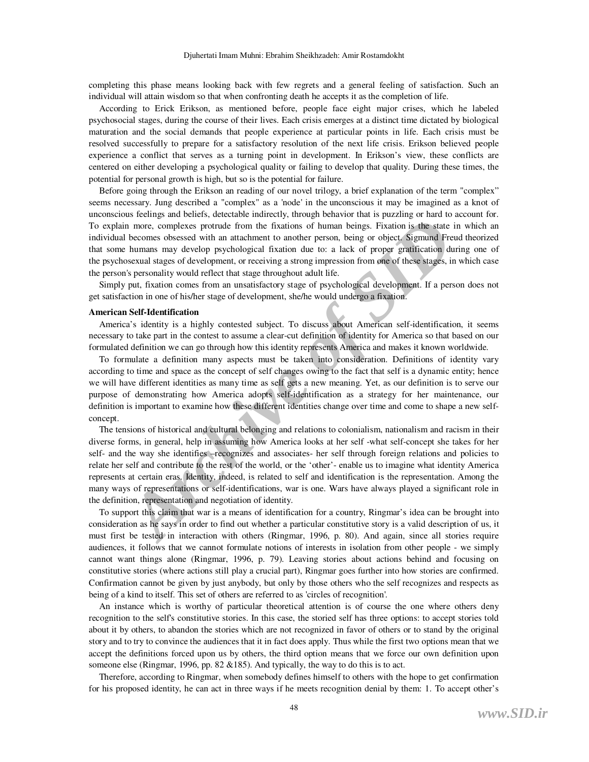completing this phase means looking back with few regrets and a general feeling of satisfaction. Such an individual will attain wisdom so that when confronting death he accepts it as the completion of life.

According to Erick Erikson, as mentioned before, people face eight major crises, which he labeled psychosocial stages, during the course of their lives. Each crisis emerges at a distinct time dictated by biological maturation and the social demands that people experience at particular points in life. Each crisis must be resolved successfully to prepare for a satisfactory resolution of the next life crisis. Erikson believed people experience a conflict that serves as a turning point in development. In Erikson's view, these conflicts are centered on either developing a psychological quality or failing to develop that quality. During these times, the potential for personal growth is high, but so is the potential for failure.

Before going through the Erikson an reading of our novel trilogy, a brief explanation of the term "complex" seems necessary. Jung described a "complex" as a 'node' in the unconscious it may be imagined as a knot of unconscious feelings and beliefs, detectable indirectly, through behavior that is puzzling or hard to account for. To explain more, complexes protrude from the fixations of human beings. Fixation is the state in which an individual becomes obsessed with an attachment to another person, being or object. Sigmund Freud theorized that some humans may develop psychological fixation due to: a lack of proper gratification during one of the psychosexual stages of development, or receiving a strong impression from one of these stages, in which case the person's personality would reflect that stage throughout adult life.

Simply put, fixation comes from an unsatisfactory stage of psychological development. If a person does not get satisfaction in one of his/her stage of development, she/he would undergo a fixation.

#### **American Self-Identification**

America's identity is a highly contested subject. To discuss about American self-identification, it seems necessary to take part in the contest to assume a clear-cut definition of identity for America so that based on our formulated definition we can go through how this identity represents America and makes it known worldwide.

To formulate a definition many aspects must be taken into consideration. Definitions of identity vary according to time and space as the concept of self changes owing to the fact that self is a dynamic entity; hence we will have different identities as many time as self gets a new meaning. Yet, as our definition is to serve our purpose of demonstrating how America adopts self-identification as a strategy for her maintenance, our definition is important to examine how these different identities change over time and come to shape a new selfconcept.

*Archive measure and the maximal strategy arrest and the way in the tigral strategy and and the text of the reader in the fixations of human beings. Fixation is the state becomes obsessed with an attachment to another pers* The tensions of historical and cultural belonging and relations to colonialism, nationalism and racism in their diverse forms, in general, help in assuming how America looks at her self -what self-concept she takes for her self- and the way she identifies –recognizes and associates- her self through foreign relations and policies to relate her self and contribute to the rest of the world, or the 'other'- enable us to imagine what identity America represents at certain eras. Identity, indeed, is related to self and identification is the representation. Among the many ways of representations or self-identifications, war is one. Wars have always played a significant role in the definition, representation and negotiation of identity.

To support this claim that war is a means of identification for a country, Ringmar's idea can be brought into consideration as he says in order to find out whether a particular constitutive story is a valid description of us, it must first be tested in interaction with others (Ringmar, 1996, p. 80). And again, since all stories require audiences, it follows that we cannot formulate notions of interests in isolation from other people - we simply cannot want things alone (Ringmar, 1996, p. 79). Leaving stories about actions behind and focusing on constitutive stories (where actions still play a crucial part), Ringmar goes further into how stories are confirmed. Confirmation cannot be given by just anybody, but only by those others who the self recognizes and respects as being of a kind to itself. This set of others are referred to as 'circles of recognition'.

An instance which is worthy of particular theoretical attention is of course the one where others deny recognition to the self's constitutive stories. In this case, the storied self has three options: to accept stories told about it by others, to abandon the stories which are not recognized in favor of others or to stand by the original story and to try to convince the audiences that it in fact does apply. Thus while the first two options mean that we accept the definitions forced upon us by others, the third option means that we force our own definition upon someone else (Ringmar, 1996, pp. 82 &185). And typically, the way to do this is to act.

Therefore, according to Ringmar, when somebody defines himself to others with the hope to get confirmation for his proposed identity, he can act in three ways if he meets recognition denial by them: 1. To accept other's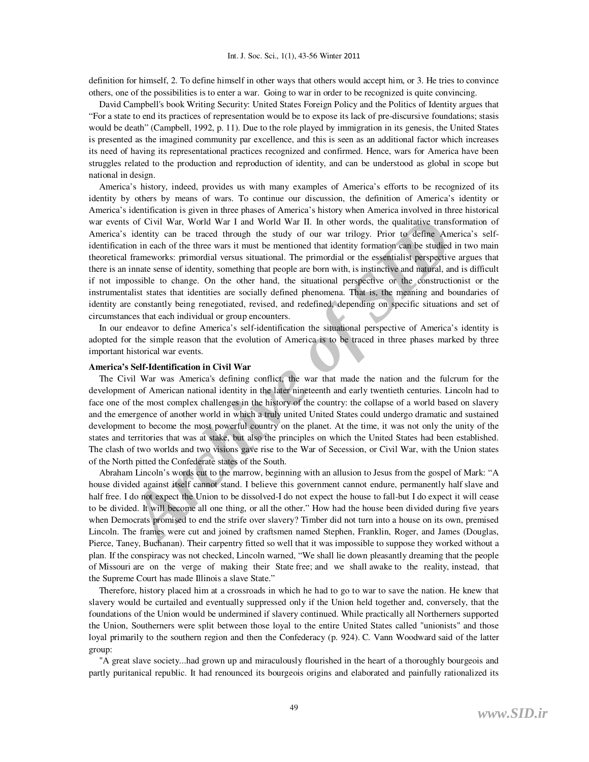#### Int. J. Soc. Sci., 1(1), 43-56 Winter 2011

definition for himself, 2. To define himself in other ways that others would accept him, or 3. He tries to convince others, one of the possibilities is to enter a war. Going to war in order to be recognized is quite convincing.

David Campbell's book Writing Security: United States Foreign Policy and the Politics of Identity argues that "For a state to end its practices of representation would be to expose its lack of pre-discursive foundations; stasis would be death" (Campbell, 1992, p. 11). Due to the role played by immigration in its genesis, the United States is presented as the imagined community par excellence, and this is seen as an additional factor which increases its need of having its representational practices recognized and confirmed. Hence, wars for America have been struggles related to the production and reproduction of identity, and can be understood as global in scope but national in design.

*As of Civil War, World War I and World War II. In other words, the qualitative translies is deriving an be traced through the study of our war trilogy. Prior to define America in incense of identity comming that parts in* America's history, indeed, provides us with many examples of America's efforts to be recognized of its identity by others by means of wars. To continue our discussion, the definition of America's identity or America's identification is given in three phases of America's history when America involved in three historical war events of Civil War, World War I and World War II. In other words, the qualitative transformation of America's identity can be traced through the study of our war trilogy. Prior to define America's selfidentification in each of the three wars it must be mentioned that identity formation can be studied in two main theoretical frameworks: primordial versus situational. The primordial or the essentialist perspective argues that there is an innate sense of identity, something that people are born with, is instinctive and natural, and is difficult if not impossible to change. On the other hand, the situational perspective or the constructionist or the instrumentalist states that identities are socially defined phenomena. That is, the meaning and boundaries of identity are constantly being renegotiated, revised, and redefined, depending on specific situations and set of circumstances that each individual or group encounters.

In our endeavor to define America's self-identification the situational perspective of America's identity is adopted for the simple reason that the evolution of America is to be traced in three phases marked by three important historical war events.

#### **America's Self-Identification in Civil War**

The Civil War was America's defining conflict, the war that made the nation and the fulcrum for the development of American national identity in the later nineteenth and early twentieth centuries. Lincoln had to face one of the most complex challenges in the history of the country: the collapse of a world based on slavery and the emergence of another world in which a truly united United States could undergo dramatic and sustained development to become the most powerful country on the planet. At the time, it was not only the unity of the states and territories that was at stake, but also the principles on which the United States had been established. The clash of two worlds and two visions gave rise to the War of Secession, or Civil War, with the Union states of the North pitted the Confederate states of the South.

Abraham Lincoln's words cut to the marrow, beginning with an allusion to Jesus from the gospel of Mark: "A house divided against itself cannot stand. I believe this government cannot endure, permanently half slave and half free. I do not expect the Union to be dissolved-I do not expect the house to fall-but I do expect it will cease to be divided. It will become all one thing, or all the other." How had the house been divided during five years when Democrats promised to end the strife over slavery? Timber did not turn into a house on its own, premised Lincoln. The frames were cut and joined by craftsmen named Stephen, Franklin, Roger, and James (Douglas, Pierce, Taney, Buchanan). Their carpentry fitted so well that it was impossible to suppose they worked without a plan. If the conspiracy was not checked, Lincoln warned, "We shall lie down pleasantly dreaming that the people of Missouri are on the verge of making their State free; and we shall awake to the reality, instead, that the Supreme Court has made Illinois a slave State."

Therefore, history placed him at a crossroads in which he had to go to war to save the nation. He knew that slavery would be curtailed and eventually suppressed only if the Union held together and, conversely, that the foundations of the Union would be undermined if slavery continued. While practically all Northerners supported the Union, Southerners were split between those loyal to the entire United States called "unionists" and those loyal primarily to the southern region and then the Confederacy (p. 924). C. Vann Woodward said of the latter group:

"A great slave society...had grown up and miraculously flourished in the heart of a thoroughly bourgeois and partly puritanical republic. It had renounced its bourgeois origins and elaborated and painfully rationalized its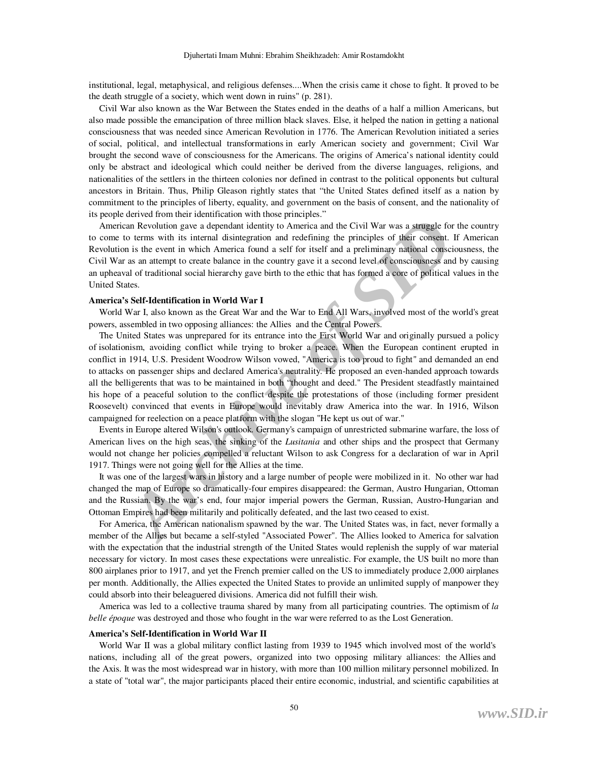institutional, legal, metaphysical, and religious defenses....When the crisis came it chose to fight. It proved to be the death struggle of a society, which went down in ruins" (p. 281).

Civil War also known as the War Between the States ended in the deaths of a half a million Americans, but also made possible the emancipation of three million black slaves. Else, it helped the nation in getting a national consciousness that was needed since American Revolution in 1776. The American Revolution initiated a series of social, political, and intellectual transformations in early American society and government; Civil War brought the second wave of consciousness for the Americans. The origins of America's national identity could only be abstract and ideological which could neither be derived from the diverse languages, religions, and nationalities of the settlers in the thirteen colonies nor defined in contrast to the political opponents but cultural ancestors in Britain. Thus, Philip Gleason rightly states that "the United States defined itself as a nation by commitment to the principles of liberty, equality, and government on the basis of consent, and the nationality of its people derived from their identification with those principles."

American Revolution gave a dependant identity to America and the Civil War was a struggle for the country to come to terms with its internal disintegration and redefining the principles of their consent. If American Revolution is the event in which America found a self for itself and a preliminary national consciousness, the Civil War as an attempt to create balance in the country gave it a second level of consciousness and by causing an upheaval of traditional social hierarchy gave birth to the ethic that has formed a core of political values in the United States.

#### **America's Self-Identification in World War I**

World War I, also known as the Great War and the War to End All Wars, involved most of the world's great powers, assembled in two opposing alliances: the Allies and the Central Powers.

**EXERCT THE CONDUCT CONDUCT CONDUCT CONDUCT**<br> **ARCHIGAT EXECUTE THE CONDUCT** CONDUCT CONDUCT THE CONDUCT CONDUCT THE ALTER THE CONDUCT THE ALTER AND THE SIGN OF THE ARCHIGAT CONDUCT THE ALTER CONDUCT THE ALTER CONDUCT THE The United States was unprepared for its entrance into the First World War and originally pursued a policy of isolationism, avoiding conflict while trying to broker a peace. When the European continent erupted in conflict in 1914, U.S. President Woodrow Wilson vowed, "America is too proud to fight" and demanded an end to attacks on passenger ships and declared America's neutrality. He proposed an even-handed approach towards all the belligerents that was to be maintained in both "thought and deed." The President steadfastly maintained his hope of a peaceful solution to the conflict despite the protestations of those (including former president Roosevelt) convinced that events in Europe would inevitably draw America into the war. In 1916, Wilson campaigned for reelection on a peace platform with the slogan "He kept us out of war."

Events in Europe altered Wilson's outlook. Germany's campaign of unrestricted submarine warfare, the loss of American lives on the high seas, the sinking of the *Lusitania* and other ships and the prospect that Germany would not change her policies compelled a reluctant Wilson to ask Congress for a declaration of war in April 1917. Things were not going well for the Allies at the time.

It was one of the largest wars in history and a large number of people were mobilized in it. No other war had changed the map of Europe so dramatically-four empires disappeared: the German, Austro Hungarian, Ottoman and the Russian. By the war's end, four major imperial powers the German, Russian, Austro-Hungarian and Ottoman Empires had been militarily and politically defeated, and the last two ceased to exist.

For America, the American nationalism spawned by the war. The United States was, in fact, never formally a member of the Allies but became a self-styled "Associated Power". The Allies looked to America for salvation with the expectation that the industrial strength of the United States would replenish the supply of war material necessary for victory. In most cases these expectations were unrealistic. For example, the US built no more than 800 airplanes prior to 1917, and yet the French premier called on the US to immediately produce 2,000 airplanes per month. Additionally, the Allies expected the United States to provide an unlimited supply of manpower they could absorb into their beleaguered divisions. America did not fulfill their wish.

America was led to a collective trauma shared by many from all participating countries. The optimism of *la belle époque* was destroyed and those who fought in the war were referred to as the Lost Generation.

#### **America's Self-Identification in World War II**

World War II was a global military conflict lasting from 1939 to 1945 which involved most of the world's nations, including all of the great powers, organized into two opposing military alliances: the Allies and the Axis. It was the most widespread war in history, with more than 100 million military personnel mobilized. In a state of "total war", the major participants placed their entire economic, industrial, and scientific capabilities at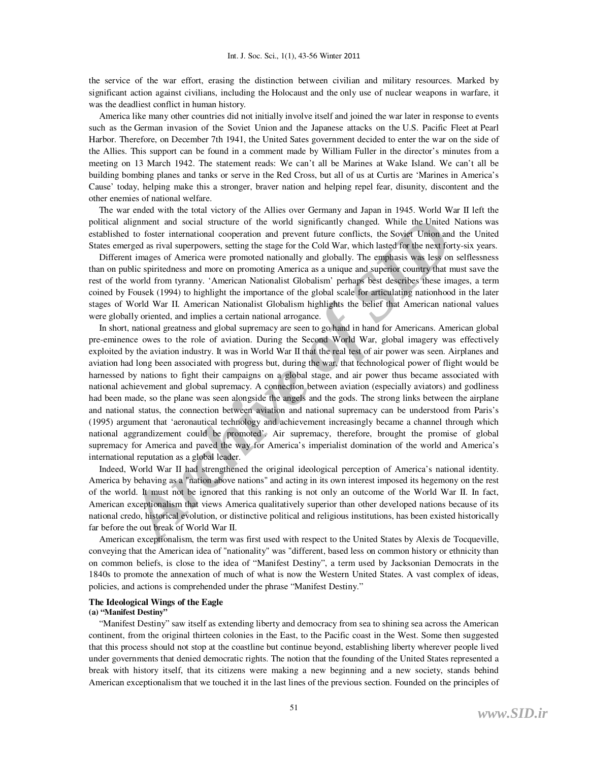the service of the war effort, erasing the distinction between civilian and military resources. Marked by significant action against civilians, including the Holocaust and the only use of nuclear weapons in warfare, it was the deadliest conflict in human history.

America like many other countries did not initially involve itself and joined the war later in response to events such as the German invasion of the Soviet Union and the Japanese attacks on the U.S. Pacific Fleet at Pearl Harbor. Therefore, on December 7th 1941, the United Sates government decided to enter the war on the side of the Allies. This support can be found in a comment made by William Fuller in the director's minutes from a meeting on 13 March 1942. The statement reads: We can't all be Marines at Wake Island. We can't all be building bombing planes and tanks or serve in the Red Cross, but all of us at Curtis are 'Marines in America's Cause' today, helping make this a stronger, braver nation and helping repel fear, disunity, discontent and the other enemies of national welfare.

The war ended with the total victory of the Allies over Germany and Japan in 1945. World War II left the political alignment and social structure of the world significantly changed. While the United Nations was established to foster international cooperation and prevent future conflicts, the Soviet Union and the United States emerged as rival superpowers, setting the stage for the Cold War, which lasted for the next forty-six years.

Different images of America were promoted nationally and globally. The emphasis was less on selflessness than on public spiritedness and more on promoting America as a unique and superior country that must save the rest of the world from tyranny. 'American Nationalist Globalism' perhaps best describes these images, a term coined by Fousek (1994) to highlight the importance of the global scale for articulating nationhood in the later stages of World War II. American Nationalist Globalism highlights the belief that American national values were globally oriented, and implies a certain national arrogance.

alignment and social structure of the world significantly changed. While the United<br>do to foster international cooperation and prevent future conflicts, the Soviet Union and<br>erged as rival superprowers, setting the stage f In short, national greatness and global supremacy are seen to go hand in hand for Americans. American global pre-eminence owes to the role of aviation. During the Second World War, global imagery was effectively exploited by the aviation industry. It was in World War II that the real test of air power was seen. Airplanes and aviation had long been associated with progress but, during the war, that technological power of flight would be harnessed by nations to fight their campaigns on a global stage, and air power thus became associated with national achievement and global supremacy. A connection between aviation (especially aviators) and godliness had been made, so the plane was seen alongside the angels and the gods. The strong links between the airplane and national status, the connection between aviation and national supremacy can be understood from Paris's (1995) argument that 'aeronautical technology and achievement increasingly became a channel through which national aggrandizement could be promoted'. Air supremacy, therefore, brought the promise of global supremacy for America and paved the way for America's imperialist domination of the world and America's international reputation as a global leader.

Indeed, World War II had strengthened the original ideological perception of America's national identity. America by behaving as a "nation above nations" and acting in its own interest imposed its hegemony on the rest of the world. It must not be ignored that this ranking is not only an outcome of the World War II. In fact, American exceptionalism that views America qualitatively superior than other developed nations because of its national credo, historical evolution, or distinctive political and religious institutions, has been existed historically far before the out break of World War II.

American exceptionalism, the term was first used with respect to the United States by Alexis de Tocqueville, conveying that the American idea of "nationality" was "different, based less on common history or ethnicity than on common beliefs, is close to the idea of "Manifest Destiny", a term used by Jacksonian Democrats in the 1840s to promote the annexation of much of what is now the Western United States. A vast complex of ideas, policies, and actions is comprehended under the phrase "Manifest Destiny."

#### **The Ideological Wings of the Eagle**

#### **(a) "Manifest Destiny"**

"Manifest Destiny" saw itself as extending liberty and democracy from sea to shining sea across the American continent, from the original thirteen colonies in the East, to the Pacific coast in the West. Some then suggested that this process should not stop at the coastline but continue beyond, establishing liberty wherever people lived under governments that denied democratic rights. The notion that the founding of the United States represented a break with history itself, that its citizens were making a new beginning and a new society, stands behind American exceptionalism that we touched it in the last lines of the previous section. Founded on the principles of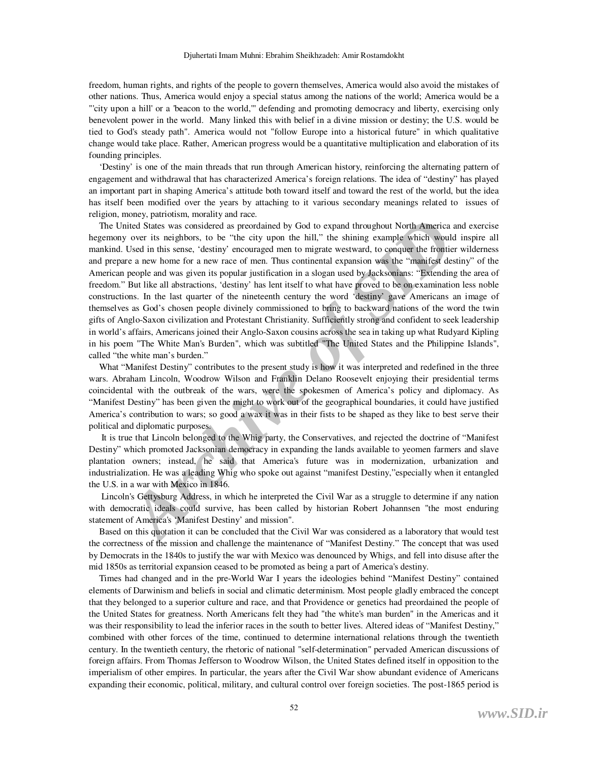#### Djuhertati Imam Muhni: Ebrahim Sheikhzadeh: Amir Rostamdokht

freedom, human rights, and rights of the people to govern themselves, America would also avoid the mistakes of other nations. Thus, America would enjoy a special status among the nations of the world; America would be a "'city upon a hill' or a 'beacon to the world,'" defending and promoting democracy and liberty, exercising only benevolent power in the world. Many linked this with belief in a divine mission or destiny; the U.S. would be tied to God's steady path". America would not "follow Europe into a historical future" in which qualitative change would take place. Rather, American progress would be a quantitative multiplication and elaboration of its founding principles.

'Destiny' is one of the main threads that run through American history, reinforcing the alternating pattern of engagement and withdrawal that has characterized America's foreign relations. The idea of "destiny" has played an important part in shaping America's attitude both toward itself and toward the rest of the world, but the idea has itself been modified over the years by attaching to it various secondary meanings related to issues of religion, money, patriotism, morality and race.

*Archive Sings and the Sings and the Sings and throughout North America and throughout North America of vert is neighbors, to be "the city upon the hill," the shining example which would used in this sense, 'destiny' encou* The United States was considered as preordained by God to expand throughout North America and exercise hegemony over its neighbors, to be "the city upon the hill," the shining example which would inspire all mankind. Used in this sense, 'destiny' encouraged men to migrate westward, to conquer the frontier wilderness and prepare a new home for a new race of men. Thus continental expansion was the "manifest destiny" of the American people and was given its popular justification in a slogan used by Jacksonians: "Extending the area of freedom." But like all abstractions, 'destiny' has lent itself to what have proved to be on examination less noble constructions. In the last quarter of the nineteenth century the word 'destiny' gave Americans an image of themselves as God's chosen people divinely commissioned to bring to backward nations of the word the twin gifts of Anglo-Saxon civilization and Protestant Christianity. Sufficiently strong and confident to seek leadership in world's affairs, Americans joined their Anglo-Saxon cousins across the sea in taking up what Rudyard Kipling in his poem "The White Man's Burden", which was subtitled "The United States and the Philippine Islands", called "the white man's burden."

What "Manifest Destiny" contributes to the present study is how it was interpreted and redefined in the three wars. Abraham Lincoln, Woodrow Wilson and Franklin Delano Roosevelt enjoying their presidential terms coincidental with the outbreak of the wars, were the spokesmen of America's policy and diplomacy. As "Manifest Destiny" has been given the might to work out of the geographical boundaries, it could have justified America's contribution to wars; so good a wax it was in their fists to be shaped as they like to best serve their political and diplomatic purposes.

 It is true that Lincoln belonged to the Whig party, the Conservatives, and rejected the doctrine of "Manifest Destiny" which promoted Jacksonian democracy in expanding the lands available to yeomen farmers and slave plantation owners; instead, he said that America's future was in modernization, urbanization and industrialization. He was a leading Whig who spoke out against "manifest Destiny,"especially when it entangled the U.S. in a war with Mexico in 1846.

 Lincoln's Gettysburg Address, in which he interpreted the Civil War as a struggle to determine if any nation with democratic ideals could survive, has been called by historian Robert Johannsen "the most enduring statement of America's 'Manifest Destiny' and mission".

Based on this quotation it can be concluded that the Civil War was considered as a laboratory that would test the correctness of the mission and challenge the maintenance of "Manifest Destiny." The concept that was used by Democrats in the 1840s to justify the war with Mexico was denounced by Whigs, and fell into disuse after the mid 1850s as territorial expansion ceased to be promoted as being a part of America's destiny.

Times had changed and in the pre-World War I years the ideologies behind "Manifest Destiny" contained elements of Darwinism and beliefs in social and climatic determinism. Most people gladly embraced the concept that they belonged to a superior culture and race, and that Providence or genetics had preordained the people of the United States for greatness. North Americans felt they had "the white's man burden" in the Americas and it was their responsibility to lead the inferior races in the south to better lives. Altered ideas of "Manifest Destiny," combined with other forces of the time, continued to determine international relations through the twentieth century. In the twentieth century, the rhetoric of national "self-determination" pervaded American discussions of foreign affairs. From Thomas Jefferson to Woodrow Wilson, the United States defined itself in opposition to the imperialism of other empires. In particular, the years after the Civil War show abundant evidence of Americans expanding their economic, political, military, and cultural control over foreign societies. The post-1865 period is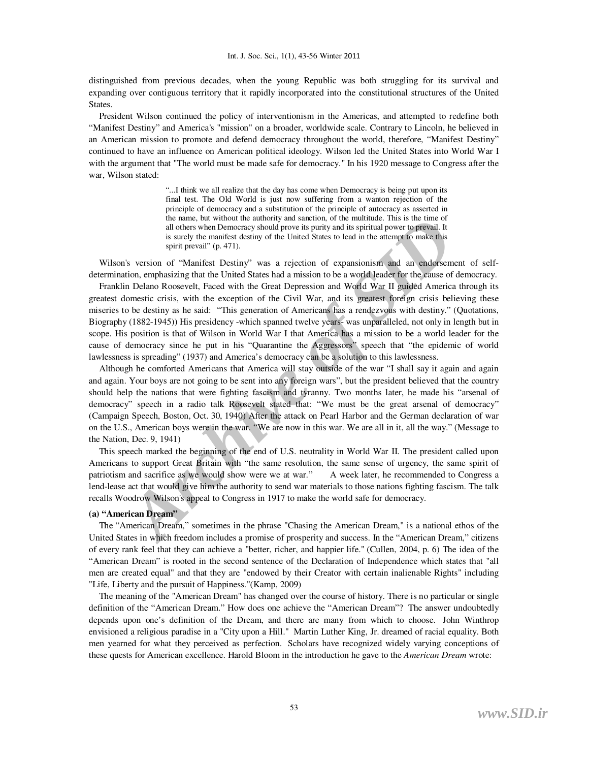#### Int. J. Soc. Sci., 1(1), 43-56 Winter 2011

distinguished from previous decades, when the young Republic was both struggling for its survival and expanding over contiguous territory that it rapidly incorporated into the constitutional structures of the United States.

President Wilson continued the policy of interventionism in the Americas, and attempted to redefine both "Manifest Destiny" and America's "mission" on a broader, worldwide scale. Contrary to Lincoln, he believed in an American mission to promote and defend democracy throughout the world, therefore, "Manifest Destiny" continued to have an influence on American political ideology. Wilson led the United States into World War I with the argument that "The world must be made safe for democracy." In his 1920 message to Congress after the war, Wilson stated:

> "...I think we all realize that the day has come when Democracy is being put upon its final test. The Old World is just now suffering from a wanton rejection of the principle of democracy and a substitution of the principle of autocracy as asserted in the name, but without the authority and sanction, of the multitude. This is the time of all others when Democracy should prove its purity and its spiritual power to prevail. It is surely the manifest destiny of the United States to lead in the attempt to make this spirit prevail" (p. 471).

Wilson's version of "Manifest Destiny" was a rejection of expansionism and an endorsement of selfdetermination, emphasizing that the United States had a mission to be a world leader for the cause of democracy.

the name, but without the authority and saction, of the multitude. This is the time of<br>al others when Democracy should prove its purity and its spiritual power to preveal. It<br>is surly the manifest edstiny of the United Sta Franklin Delano Roosevelt, Faced with the Great Depression and World War II guided America through its greatest domestic crisis, with the exception of the Civil War, and its greatest foreign crisis believing these miseries to be destiny as he said: "This generation of Americans has a rendezvous with destiny." (Quotations, Biography (1882-1945)) His presidency -which spanned twelve years- was unparalleled, not only in length but in scope. His position is that of Wilson in World War I that America has a mission to be a world leader for the cause of democracy since he put in his "Quarantine the Aggressors" speech that "the epidemic of world lawlessness is spreading" (1937) and America's democracy can be a solution to this lawlessness.

Although he comforted Americans that America will stay outside of the war "I shall say it again and again and again. Your boys are not going to be sent into any foreign wars", but the president believed that the country should help the nations that were fighting fascism and tyranny. Two months later, he made his "arsenal of democracy" speech in a radio talk Roosevelt stated that: "We must be the great arsenal of democracy" (Campaign Speech, Boston, Oct. 30, 1940) After the attack on Pearl Harbor and the German declaration of war on the U.S., American boys were in the war. "We are now in this war. We are all in it, all the way." (Message to the Nation, Dec. 9, 1941)

This speech marked the beginning of the end of U.S. neutrality in World War II. The president called upon Americans to support Great Britain with "the same resolution, the same sense of urgency, the same spirit of patriotism and sacrifice as we would show were we at war." A week later, he recommended to Congress a lend-lease act that would give him the authority to send war materials to those nations fighting fascism. The talk recalls Woodrow Wilson's appeal to Congress in 1917 to make the world safe for democracy.

#### **(a) "American Dream"**

The "American Dream," sometimes in the phrase "Chasing the American Dream," is a national ethos of the United States in which freedom includes a promise of prosperity and success. In the "American Dream," citizens of every rank feel that they can achieve a "better, richer, and happier life." (Cullen, 2004, p. 6) The idea of the "American Dream" is rooted in the second sentence of the Declaration of Independence which states that "all men are created equal" and that they are "endowed by their Creator with certain inalienable Rights" including "Life, Liberty and the pursuit of Happiness."(Kamp, 2009)

The meaning of the "American Dream" has changed over the course of history. There is no particular or single definition of the "American Dream." How does one achieve the "American Dream"? The answer undoubtedly depends upon one's definition of the Dream, and there are many from which to choose. John Winthrop envisioned a religious paradise in a "City upon a Hill." Martin Luther King, Jr. dreamed of racial equality. Both men yearned for what they perceived as perfection. Scholars have recognized widely varying conceptions of these quests for American excellence. Harold Bloom in the introduction he gave to the *American Dream* wrote: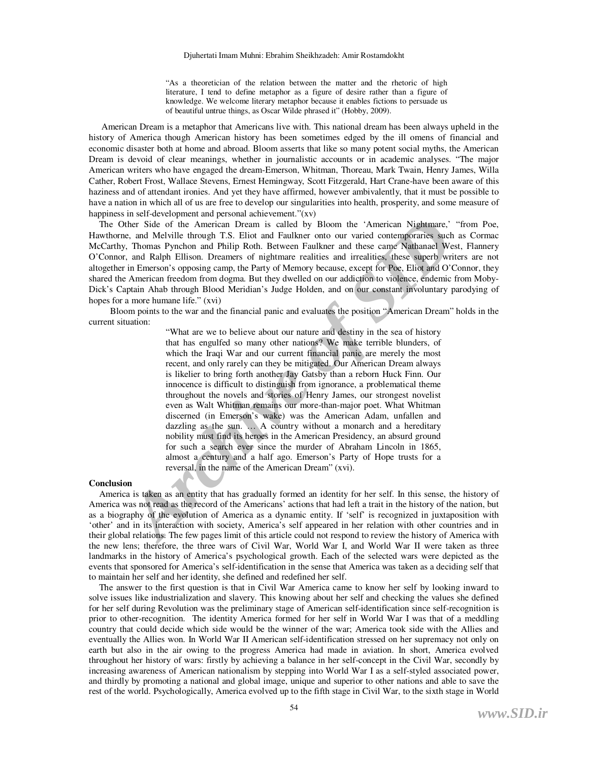"As a theoretician of the relation between the matter and the rhetoric of high literature, I tend to define metaphor as a figure of desire rather than a figure of knowledge. We welcome literary metaphor because it enables fictions to persuade us of beautiful untrue things, as Oscar Wilde phrased it" (Hobby, 2009).

American Dream is a metaphor that Americans live with. This national dream has been always upheld in the history of America though American history has been sometimes edged by the ill omens of financial and economic disaster both at home and abroad. Bloom asserts that like so many potent social myths, the American Dream is devoid of clear meanings, whether in journalistic accounts or in academic analyses. "The major American writers who have engaged the dream-Emerson, Whitman, Thoreau, Mark Twain, Henry James, Willa Cather, Robert Frost, Wallace Stevens, Ernest Hemingway, Scott Fitzgerald, Hart Crane-have been aware of this haziness and of attendant ironies. And yet they have affirmed, however ambivalently, that it must be possible to have a nation in which all of us are free to develop our singularities into health, prosperity, and some measure of happiness in self-development and personal achievement."(xv)

The Other Side of the American Dream is called by Bloom the 'American Nightmare,' "from Poe, Hawthorne, and Melville through T.S. Eliot and Faulkner onto our varied contemporaries such as Cormac McCarthy, Thomas Pynchon and Philip Roth. Between Faulkner and these came Nathanael West, Flannery O'Connor, and Ralph Ellison. Dreamers of nightmare realities and irrealities, these superb writers are not altogether in Emerson's opposing camp, the Party of Memory because, except for Poe, Eliot and O'Connor, they shared the American freedom from dogma. But they dwelled on our addiction to violence, endemic from Moby-Dick's Captain Ahab through Blood Meridian's Judge Holden, and on our constant involuntary parodying of hopes for a more humane life." (xvi)

 Bloom points to the war and the financial panic and evaluates the position "American Dream" holds in the current situation:

ther Side of the American Dream is called by Bloom the 'American Nightmare,'<br>
ther Side of the American Dream is called by Bloom the 'American Nightmare,'<br> *A*, Thomas Pynchon and Philip Roth. Between Faulkher onto our var "What are we to believe about our nature and destiny in the sea of history that has engulfed so many other nations? We make terrible blunders, of which the Iraqi War and our current financial panic are merely the most recent, and only rarely can they be mitigated. Our American Dream always is likelier to bring forth another Jay Gatsby than a reborn Huck Finn. Our innocence is difficult to distinguish from ignorance, a problematical theme throughout the novels and stories of Henry James, our strongest novelist even as Walt Whitman remains our more-than-major poet. What Whitman discerned (in Emerson's wake) was the American Adam, unfallen and dazzling as the sun. . A country without a monarch and a hereditary nobility must find its heroes in the American Presidency, an absurd ground for such a search ever since the murder of Abraham Lincoln in 1865, almost a century and a half ago. Emerson's Party of Hope trusts for a reversal, in the name of the American Dream" (xvi).

#### **Conclusion**

America is taken as an entity that has gradually formed an identity for her self. In this sense, the history of America was not read as the record of the Americans' actions that had left a trait in the history of the nation, but as a biography of the evolution of America as a dynamic entity. If 'self' is recognized in juxtaposition with 'other' and in its interaction with society, America's self appeared in her relation with other countries and in their global relations. The few pages limit of this article could not respond to review the history of America with the new lens; therefore, the three wars of Civil War, World War I, and World War II were taken as three landmarks in the history of America's psychological growth. Each of the selected wars were depicted as the events that sponsored for America's self-identification in the sense that America was taken as a deciding self that to maintain her self and her identity, she defined and redefined her self.

The answer to the first question is that in Civil War America came to know her self by looking inward to solve issues like industrialization and slavery. This knowing about her self and checking the values she defined for her self during Revolution was the preliminary stage of American self-identification since self-recognition is prior to other-recognition. The identity America formed for her self in World War I was that of a meddling country that could decide which side would be the winner of the war; America took side with the Allies and eventually the Allies won. In World War II American self-identification stressed on her supremacy not only on earth but also in the air owing to the progress America had made in aviation. In short, America evolved throughout her history of wars: firstly by achieving a balance in her self-concept in the Civil War, secondly by increasing awareness of American nationalism by stepping into World War I as a self-styled associated power, and thirdly by promoting a national and global image, unique and superior to other nations and able to save the rest of the world. Psychologically, America evolved up to the fifth stage in Civil War, to the sixth stage in World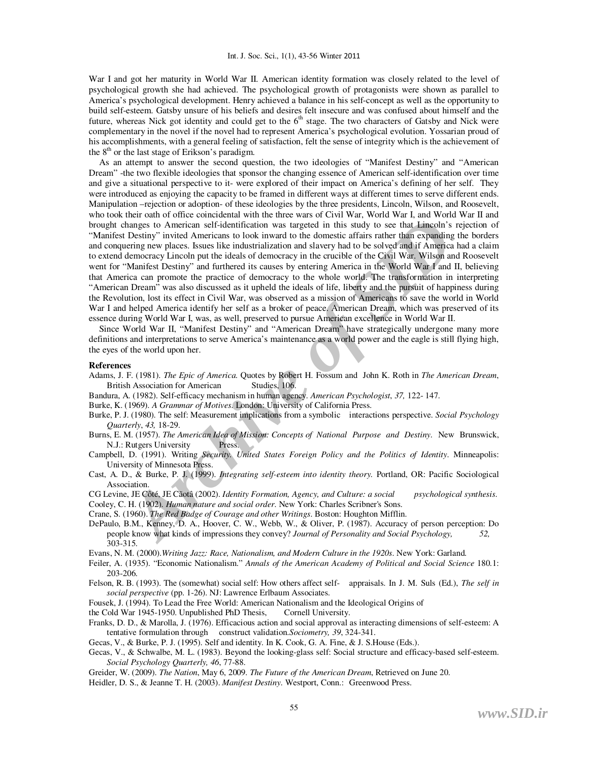War I and got her maturity in World War II. American identity formation was closely related to the level of psychological growth she had achieved. The psychological growth of protagonists were shown as parallel to America's psychological development. Henry achieved a balance in his self-concept as well as the opportunity to build self-esteem. Gatsby unsure of his beliefs and desires felt insecure and was confused about himself and the future, whereas Nick got identity and could get to the 6<sup>th</sup> stage. The two characters of Gatsby and Nick were complementary in the novel if the novel had to represent America's psychological evolution. Yossarian proud of his accomplishments, with a general feeling of satisfaction, felt the sense of integrity which is the achievement of the  $8<sup>th</sup>$  or the last stage of Erikson's paradigm.

mann'es to American transformation was transformation and the context of the context of the context of the context of the domestic and the domestic and the difference of the Dinsing remains to the different the context of As an attempt to answer the second question, the two ideologies of "Manifest Destiny" and "American Dream" -the two flexible ideologies that sponsor the changing essence of American self-identification over time and give a situational perspective to it- were explored of their impact on America's defining of her self. They were introduced as enjoying the capacity to be framed in different ways at different times to serve different ends. Manipulation –rejection or adoption- of these ideologies by the three presidents, Lincoln, Wilson, and Roosevelt, who took their oath of office coincidental with the three wars of Civil War, World War I, and World War II and brought changes to American self-identification was targeted in this study to see that Lincoln's rejection of "Manifest Destiny" invited Americans to look inward to the domestic affairs rather than expanding the borders and conquering new places. Issues like industrialization and slavery had to be solved and if America had a claim to extend democracy Lincoln put the ideals of democracy in the crucible of the Civil War. Wilson and Roosevelt went for "Manifest Destiny" and furthered its causes by entering America in the World War I and II, believing that America can promote the practice of democracy to the whole world. The transformation in interpreting "American Dream" was also discussed as it upheld the ideals of life, liberty and the pursuit of happiness during the Revolution, lost its effect in Civil War, was observed as a mission of Americans to save the world in World War I and helped America identify her self as a broker of peace. American Dream, which was preserved of its essence during World War I, was, as well, preserved to pursue American excellence in World War II.

Since World War II, "Manifest Destiny" and "American Dream" have strategically undergone many more definitions and interpretations to serve America's maintenance as a world power and the eagle is still flying high, the eyes of the world upon her.

#### **References**

- Adams, J. F. (1981). *The Epic of America.* Quotes by Robert H. Fossum and John K. Roth in *The American Dream*, British Association for American
- Bandura, A. (1982). Self-efficacy mechanism in human agency. *American Psychologist*, *37,* 122- 147.
- Burke, K. (1969). *A Grammar of Motives*. London: University of California Press.
- Burke, P. J. (1980). The self: Measurement implications from a symbolic interactions perspective. *Social Psychology Quarterly*, *43,* 18-29.
- Burns, E. M. (1957). *The American Idea of Mission: Concepts of National Purpose and Destiny*. New Brunswick, N.J.: Rutgers University Press.
- Campbell, D. (1991). Writing *Security. United States Foreign Policy and the Politics of Identity*. Minneapolis: University of Minnesota Press.
- Cast, A. D., & Burke, P. J. (1999). *Integrating self-esteem into identity theory.* Portland, OR: Pacific Sociological Association.
- CG Levine, JE Côté, JE Cãotâ (2002). *Identity Formation, Agency, and Culture: a social psychological synthesis*. Cooley, C. H. (1902). *Human nature and social order*. New York: Charles Scribner's Sons.
- Crane, S. (1960). *The Red Badge of Courage and other Writings*. Boston: Houghton Mifflin.
- DePaulo, B.M., Kenney, D. A., Hoover, C. W., Webb, W., & Oliver, P. (1987). Accuracy of person perception: Do people know what kinds of impressions they convey? *Journal of Personality and Social Psychology, 52,* 303-315.
- Evans, N. M. (2000).*Writing Jazz: Race, Nationalism, and Modern Culture in the 1920s*. New York: Garland.
- Feiler, A. (1935). "Economic Nationalism." *Annals of the American Academy of Political and Social Science* 180.1: 203-206.
- Felson, R. B. (1993). The (somewhat) social self: How others affect self- appraisals. In J. M. Suls (Ed.), *The self in social perspective* (pp. 1-26). NJ: Lawrence Erlbaum Associates.

Fousek, J. (1994). To Lead the Free World: American Nationalism and the Ideological Origins of the Cold War 1945-1950. Unpublished PhD Thesis, Cornell University.

- the Cold War 1945-1950. Unpublished PhD Thesis,
- Franks, D. D., & Marolla, J. (1976). Efficacious action and social approval as interacting dimensions of self-esteem: A tentative formulation through construct validation.*Sociometry, 39*, 324-341.
- Gecas, V., & Burke, P. J. (1995). Self and identity. In K. Cook, G. A. Fine, & J. S.House (Eds.).
- Gecas, V., & Schwalbe, M. L. (1983). Beyond the looking-glass self: Social structure and efficacy-based self-esteem. *Social Psychology Quarterly, 46*, 77-88.
- Greider, W. (2009). *The Nation*, May 6, 2009. *The Future of the American Dream*, Retrieved on June 20.
- Heidler, D. S., & Jeanne T. H. (2003). *Manifest Destiny*. Westport, Conn.: Greenwood Press.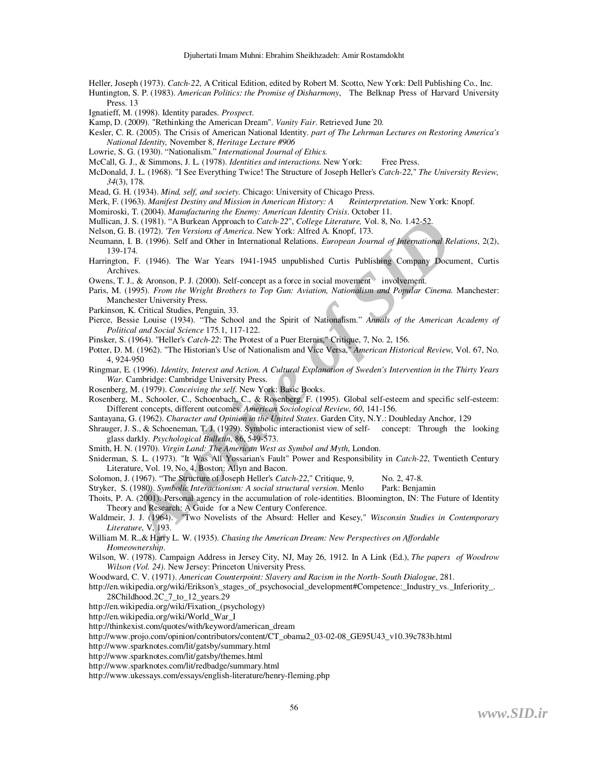Djuhertati Imam Muhni: Ebrahim Sheikhzadeh: Amir Rostamdokht

- Heller, Joseph (1973). *Catch-22*, A Critical Edition, edited by Robert M. Scotto, New York: Dell Publishing Co., Inc.
- Huntington, S. P. (1983). *American Politics: the Promise of Disharmony*, The Belknap Press of Harvard University Press. 13
- Ignatieff, M. (1998). Identity parades. *Prospect*.
- Kamp, D. (2009). "Rethinking the American Dream". *Vanity Fair*. Retrieved June 20.
- Kesler, C. R. (2005). The Crisis of American National Identity. *part of The Lehrman Lectures on Restoring America's National Identity,* November 8, *Heritage Lecture #906*
- Lowrie, S. G. (1930). "Nationalism." *International Journal of Ethics.*
- McCall, G. J., & Simmons, J. L. (1978). *Identities and interactions.* New York: Free Press.
- McDonald, J. L. (1968). "I See Everything Twice! The Structure of Joseph Heller's *Catch-22*," *The University Review, 34*(3), 178.
- Mead, G. H. (1934). *Mind, self, and society.* Chicago: University of Chicago Press.
- Merk, F. (1963). *Manifest Destiny and Mission in American History: A* Reinterpretation. New York: Knopf.
- Momiroski, T. (2004). *Manufacturing the Enemy: American Identity Crisis*. October 11.
- Mullican, J. S. (1981). "A Burkean Approach to *Catch-22*", *College Literature,* Vol. 8, No. 1.42-52.
- Nelson, G. B. (1972). *'Ten Versions of America*. New York: Alfred A. Knopf, 173.
- Neumann, I. B. (1996). Self and Other in International Relations. *European Journal of International Relations*, 2(2), 139-174.
- Harrington, F. (1946). The War Years 1941-1945 unpublished Curtis Publishing Company Document, Curtis Archives.
- Owens, T. J., & Aronson, P. J. (2000). Self-concept as a force in social movement involvement.
- Paris, M. (1995). *From the Wright Brothers to Top Gun: Aviation, Nationalism and Popular Cinema.* Manchester: Manchester University Press.
- Parkinson, K. Critical Studies, Penguin, 33.
- Pierce, Bessie Louise (1934). "The School and the Spirit of Nationalism." *Annals of the American Academy of Political and Social Science* 175.1, 117-122.
- Pinsker, S. (1964). "Heller's *Catch-22*: The Protest of a Puer Eternis," Critique, 7, No. 2, 156.
- Potter, D. M. (1962). "The Historian's Use of Nationalism and Vice Versa," *American Historical Review,* Vol. 67, No. 4, 924-950
- Ringmar, E. (1996). *Identity, Interest and Action. A Cultural Explanation of Sweden's Intervention in the Thirty Years War.* Cambridge: Cambridge University Press.
- Rosenberg, M. (1979). *Conceiving the self*. New York: Basic Books.
- Rosenberg, M., Schooler, C., Schoenbach, C., & Rosenberg, F. (1995). Global self-esteem and specific self-esteem: Different concepts, different outcomes. *American Sociological Review, 60*, 141-156.
- Santayana, G. (1962). *Character and Opinion in the United States*. Garden City, N.Y.: Doubleday Anchor, 129
- *J.S. (1988).* "A Burkean Approach to *Catch-22"*, *Coltege Literature,* Vol. 8, No. 1.42-52.<br> *A.* (1972). *Ten Versions of America*. New York: Affred A. Knopf, 173.<br> *A.* (1972). *Ten Versions of America*. New York: Affr Shrauger, J. S., & Schoeneman, T. J. (1979). Symbolic interactionist view of self- concept: Through the looking glass darkly. *Psychological Bulletin*, 86, 549-573.
- Smith, H. N. (1970). *Virgin Land: The American West as Symbol and Myth*, London.
- Sniderman, S. L. (1973). "It Was All Yossarian's Fault" Power and Responsibility in *Catch-22*, Twentieth Century Literature, Vol. 19, No. 4, Boston: Allyn and Bacon.
- Solomon, J. (1967). "The Structure of Joseph Heller's *Catch-22*," Critique, 9, No. 2, 47-8.
- Stryker, S. (1980). *Symbolic Interactionism: A social structural version*. Menlo Park: Benjamin
- Thoits, P. A. (2001). Personal agency in the accumulation of role-identities. Bloomington, IN: The Future of Identity Theory and Research: A Guide for a New Century Conference.
- Waldmeir, J. J. (1964). "Two Novelists of the Absurd: Heller and Kesey," *Wisconsin Studies in Contemporary Literature*, V, 193.
- William M. R.,& Harry L. W. (1935). *Chasing the American Dream: New Perspectives on Affordable Homeownership*.
- Wilson, W. (1978). Campaign Address in Jersey City, NJ, May 26, 1912. In A Link (Ed.), *The papers of Woodrow Wilson (Vol. 24)*. New Jersey: Princeton University Press.
- Woodward, C. V. (1971). *American Counterpoint: Slavery and Racism in the North- South Dialogue*, 281.
- http://en.wikipedia.org/wiki/Erikson's\_stages\_of\_psychosocial\_development#Competence:\_Industry\_vs.\_Inferiority\_. 28Childhood.2C\_7\_to\_12\_years.29
- http://en.wikipedia.org/wiki/Fixation\_(psychology)
- http://en.wikipedia.org/wiki/World\_War\_I
- http://thinkexist.com/quotes/with/keyword/american\_dream
- http://www.projo.com/opinion/contributors/content/CT\_obama2\_03-02-08\_GE95U43\_v10.39c783b.html
- http://www.sparknotes.com/lit/gatsby/summary.html
- http://www.sparknotes.com/lit/gatsby/themes.html
- http://www.sparknotes.com/lit/redbadge/summary.html
- http://www.ukessays.com/essays/english-literature/henry-fleming.php